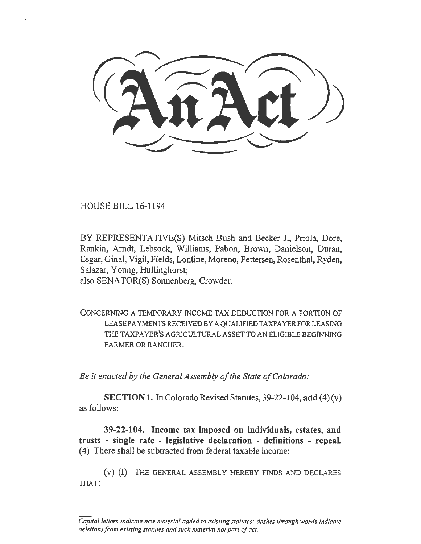~--~-

HOUSE BILL 16-1194

BY REPRESENTATIVE(S) Mitsch Bush and Becker J., Priola, Dore, Rankin, Arndt, Lebsock, Williams, Pabon, Brown, Danielson, Duran, Esgar, Ginal, Vigil, Fields, Lontine, Moreno, Pettersen, Rosenthal, Ryden, Salazar, Young, Hullinghorst; also SENATOR(S) Sonnenberg, Crowder.

CONCERNING A TEMPORARY INCOME TAX DEDUCTION FOR A PORTION OF LEASE PAYMENTS RECEIVED BY A QUALIFIEDT AXPA YER FOR LEASING THE TAXPAYER'S AGRICULTURAL ASSET TO AN ELIGIBLE BEGINNING FARMER OR RANCHER.

*Be it enacted by the General Assembly of the State of Colorado:* 

SECTION 1. In Colorado Revised Statutes, 39-22-104, add  $(4)(v)$ as follows:

39-22-104. Income tax imposed on individuals, estates, and trusts - single rate - legislative declaration - definitions - repeal. (4) There shall be subtracted from federal taxable income:

(v) (I) THE GENERAL ASSEMBLY HEREBY FINDS AND DECLARES THAT:

*Capital letters indicate new material added to existing statutes; dashes through words indicate deletions from existing statutes and such material not part of act.*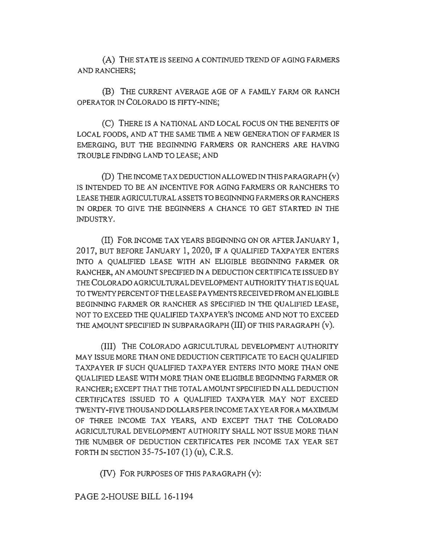(A) THE STA TE IS SEEING A CONTINUED TREND OF AGING FARMERS AND RANCHERS;

(B) THE CURRENT AVERAGE AGE OF A FAMILY FARM OR RANCH OPERA TOR IN COLORADO IS FIFTY-NINE;

(C) THERE IS A NATIONAL AND LOCAL FOCUS ON THE BENEFITS OF LOCAL FOODS, AND AT THE SAME TIME A NEW GENERATION OF FARMER IS EMERGING, BUT THE BEGINNING FARMERS OR RANCHERS ARE HAVING TROUBLE FINDING LAND TO LEASE; AND

(D) THE INCOME TAX DEDUCTION ALLOWED IN THIS PARAGRAPH $(v)$ IS INTENDED TO BE AN INCENTIVE FOR AGING FARMERS OR RANCHERS TO LEASE THEIRAGRICULTURALASSETS TO BEGINNING FARMERS OR RANCHERS IN ORDER TO GIVE THE BEGINNERS A CHANCE TO GET STARTED IN THE INDUSTRY.

(II) FOR INCOME TAX YEARS BEGINNING ON OR AFTER JANUARY l, 2017, BUT BEFORE JANUARY 1, 2020, IF A QUALIFIED TAXPAYER ENTERS INTO A QUALIFIED LEASE WITH AN ELIGIBLE BEGINNING FARMER OR RANCHER, AN AMOUNT SPECIFIED IN A DEDUCTION CERTIFICATE ISSUED BY THECOLORADOAGR1CULTURALDEVELOPMENTAUTHOR1TYTHATISEQUAL TO TWENTY PERCENT OF THE LEASE PAYMENTS RECEIVED FROM AN ELIGIBLE BEGINNING FARMER OR RANCHER AS SPECIFIED IN THE QUALIFIED LEASE, NOT TO EXCEED THE QUALIFIED TAXPAYER'S INCOME AND NOT TO EXCEED THE AMOUNT SPECIFIED IN SUBPARAGRAPH (III) OF THIS PARAGRAPH (v).

(III) THE COLORADO AGRICULTURAL DEVELOPMENT AUTHORITY MAY ISSUE MORE THAN ONE DEDUCTION CERTIFICATE TO EACH QUAUFIED TAXPAYER IF SUCH OUALIFIED TAXPAYER ENTERS INTO MORE THAN ONE QUALIFIED LEASE WITII MORE THAN ONE ELIGIBLE BEGINNING FARMER OR RANCHER; EXCEPT THAT THE TOTAL AMOUNT SPECIFIED IN ALL DEDUCTION CERTIFICATES ISSUED TO A QUALIFIED TAXPAYER MAY NOT EXCEED TWENTY-FIVE THOUSAND DOLLARS PER INCOME TAX YEAR FORA MAXIMUM OF THREE INCOME TAX YEARS, AND EXCEPT THAT THE COLORADO AGRICULTURAL DEVELOPMENT AUTHORITY SHALL NOT ISSUE MORE THAN THE NUMBER OF DEDUCTION CERTIFICATES PER INCOME TAX YEAR SET FORTH IN SECTION 35-75-107  $(1)$   $(u)$ , C.R.S.

(IV) FOR PURPOSES OF THIS PARAGRAPH (v):

PAGE 2-HOUSE BILL 16-1194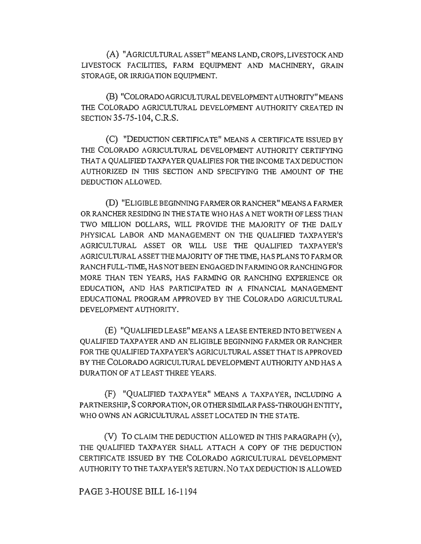(A) "AGRICULTURALASSET" MEANSLAND,CROPS,LIVESTOCKAND LIVESTOCK FACILITIES, FARM EQUIPMENT AND MACHINERY, GRAIN STORAGE, OR IRRIGATION EQUIPMENT.

(B) "COLORADO AGRICULTURAL DEVELOPMENT AUTHORITY" MEANS THE COLORADO AGRICULTURAL DEVELOPMENT AUTHORITY CREATED IN SECTION 35-75-104, C.R.S.

(C) "DEDUCTION CERTIFICATE" MEANS A CERTIFICATE ISSUED BY THE COLORADO AGRICULTURAL DEVELOPMENT AUTHORITY CERTIFYING THAT A QUALIFIED TAXPAYER QUALIFIES FOR THE INCOME TAX DEDUCTION AUTHORIZED IN THIS SECTION AND SPECIFYING THE AMOUNT OF THE DEDUCTION ALLOWED.

(D) "ELIGIBLE BEGINNING FARMER OR RANCHER" MEANS A FARMER OR RANCHER RESIDING IN THE STATE WHO HAS A NET WORTH OF LESS THAN TWO MILLION DOLLARS, WILL PROVIDE THE MAJORITY OF THE DAILY PHYSICAL LABOR AND MANAGEMENT ON THE QUALIFIED TAXPAYER'S AGRICULTURAL ASSET OR WILL USE THE QUALIFIED TAXPAYER'S AGRICULTURAL ASSET THE MAJORITY OF THE TIME, HAS PLANS TO FARM OR RANCH FULL-TIME, HAS NOT BEEN ENGAGED JN FARMING OR RANCHING FOR MORE THAN TEN YEARS, HAS FARMING OR RANCHING EXPERIENCE OR EDUCATION, AND HAS PARTICIPATED IN A FINANCIAL MANAGEMENT EDUCATIONAL PROGRAM APPROVED BY THE COLORADO AGRICULTURAL DEVELOPMENT AUTHORITY.

(E) "QUALIFIED LEASE" MEANS A LEASE ENTERED INTO BETWEEN A QUALIFIED TAXPAYER AND AN ELIGIBLE BEGINNING FARMER OR RANCHER FOR THE QUALIFIED TAXPAYER'S AGRICULTURAL ASSET THAT IS APPROVED BY THE COLORADO AGRICULTURAL DEVELOPMENT AUTHORITY AND HAS A DURATION OF AT LEAST THREE YEARS.

(F) "QUALIFIED TAXPAYER" MEANS A TAXPAYER, INCLUDING A PARTNERSHIP, SCORPORATION, OR OTHER SIMILAR PASS-THROUGH ENTITY, WHO OWNS AN AGRICULTURAL ASSET LOCATED IN THE STATE.

(V) To CLAIM THE DEDUCTION ALLOWED IN THIS PARAGRAPH (v), THE QUALIFIED TAXPAYER SHALL ATTACH A COPY OF THE DEDUCTION CERTIFICATE ISSUED BY THE COLORADO AGRICULTURAL DEVELOPMENT AUTHORITY TO THE TAXPAYER'S RETURN. NO TAX DEDUCTION IS ALLOWED

## PAGE 3-HOUSE BILL 16-1194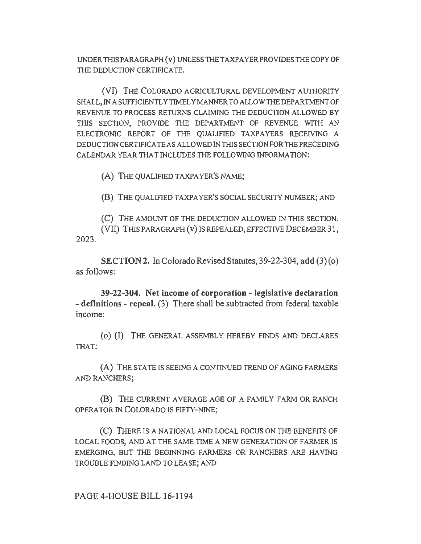UNDER THIS PARAGRAPH (v) UNLESS THE TAXPAYER PROVIDES THE COPY OF THE DEDUCTION CERTIFICATE.

(VI) THE COLORADO AGRICULTURAL DEVELOPMENT AUTHORITY SHALL, IN A SUFFICIENTLY TIMELY MANNER TO ALLOW THE DEPARTMENT OF REVENUE TO PROCESS RETURNS CLAIMING THE DEDUCTION ALLOWED BY THIS SECTION, PROVIDE THE DEPARTMENT OF REVENUE WITH AN ELECTRONIC REPORT OF THE QUALIFIED TAXPAYERS RECEIVING A DEDUCTION CERTIFICATE AS ALLOWED IN THIS SECTION FOR THE PRECEDING CALENDAR YEAR THAT INCLUDES THE FOLLOWING INFORMATION:

(A) THE QUALIFIED TAXPAYER'S NAME;

(B) THE QUALIFIED TAXPAYER'S SOCIAL SECURITY NUMBER; AND

(C) THE AMOUNT OF THE DEDUCTION ALLOWED IN THIS SECTION. (VII) THIS PARAGRAPH (v) IS REPEALED, EFFECTIVE DECEMBER 31, 2023.

SECTION 2. In Colorado Revised Statutes, 39-22-304, add (3)(0) as follows:

39-22-304. Net income of corporation - legislative declaration - definitions - repeal. (3) There shall be subtracted from federal taxable income:

( o) (I) THE GENERAL ASSEMBLY HEREBY FINDS AND DECLARES THAT:

(A) THE STATE IS SEEING A CONTINUED TREND OF AGING FARMERS AND RANCHERS;

(B) THE CURRENT AVERAGE AGE OF A FAMILY FARM OR RANCH OPERA TOR IN COLORADO IS FIFTY-NINE;

(C) THERE IS A NATIONAL AND LOCAL FOCUS ON THE BENEFITS OF LOCAL FOODS, AND AT THE SAME TIME A NEW GENERATION OF FARMER IS EMERGING, BUT THE BEGINNING FARMERS OR RANCHERS ARE HA VINO TROUBLE FINDING LAND TO LEASE; AND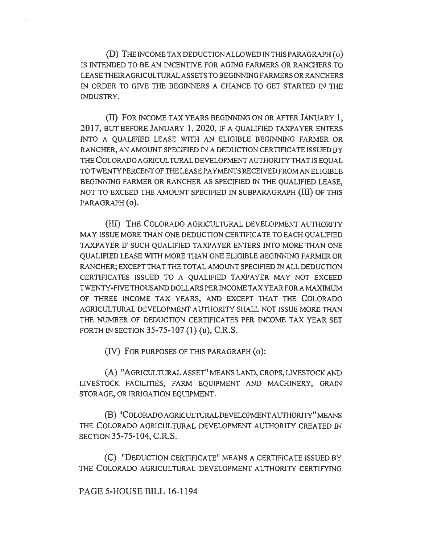(D) THE INCOME TAX DEDUCTION ALLOWED IN THIS PARAGRAPH ( o) IS INTENDED TO BE AN INCENTIVE FOR AGING FARMERS OR RANCHERS TO LEASETHEIRAGRICULTURALASSETSTOBEGINNINGFARMERSORRANCHERS IN ORDER TO GIVE THE BEGINNERS A CHANCE TO GET STARTED IN THE INDUSTRY.

(II) FOR INCOME TAX YEARS BEGINNING ON OR AFTER JANUARY 1, 2017, BUT BEFORE JANUARY 1, 2020, IF A QUALIFIED TAXPAYER ENTERS INTO A QUALIFIED LEASE WITH AN ELIGIBLE BEGINNING FARMER OR RANCHER, AN AMOUNT SPECIFIED IN A DEDUCTION CERTIFICATE ISSUED BY THE COLORADO AGRICULTURAL DEVELOPMENT AUTHORITY THAT IS EQUAL TO TWENTYPERCENTOFTHELEASE PAYMENTS RECEIVED FROMAN ELIGIBLE BEGINNING FARMER OR RANCHER AS SPECIFIED IN THE QUALIFIED LEASE, NOT TO EXCEED THE AMOUNT SPECIFIED IN SUBPARAGRAPH (III) OF THIS PARAGRAPH (0).

(Ill) THE COLORADO AGRICULTURAL DEVELOPMENT AUTHORITY MAY ISSUE MORE THAN ONE DEDUCTION CERTIFICATE TO EACH QUALIFIED TAXPAYER IF SUCH QUALIFIED TAXPAYER ENTERS INTO MORE THAN ONE QUALIFIED LEASE WITH MORE THAN ONE ELIGIBLE BEGINNING FARMER OR RANCHER; EXCEPT THAT THE TOTAL AMOUNT SPECIFIED IN ALL DEDUCTION CERTIFICATES ISSUED TO A QUALIFIED TAXPAYER MAY NOT EXCEED TWENTY-FIVE THOUSAND DOLLARS PER INCOME TAX YEAR FORA MAXIMUM OF THREE INCOME TAX YEARS, AND EXCEPT THAT THE COLORADO AGRICULTURAL DEVELOPMENT AUTHORITY SHALL NOT ISSUE MORE THAN THE NUMBER OF DEDUCTION CERTIFICATES PER INCOME TAX YEAR SET FORTH IN SECTION 35-75-107 (1) (u), C.R.S.

(IV) FOR PURPOSES OF THIS PARAGRAPH (o):

(A) "AGRICULTURAL ASSET" MEANS LAND, CROPS, LIVESTOCK AND LIVESTOCK FACILITIES, FARM EQUIPMENT AND MACHINERY, GRAIN STORAGE, OR IRRIGATION EQUIPMENT.

(B) "COLORADO AGRICULTURAL DEVELOPMENT AUTHORITY" MEANS THE COLORADO AGRICULTURAL DEVELOPMENT AUTHORITY CREATED IN SECTION 35-75-104, C.R.S.

(C) "DEDUCTION CERTIFICATE" MEANS A CERTIFICATE ISSUED BY THE COLORADO AGRICULTURAL DEVELOPMENT AUTHORITY CERTIFYING

## PAGE 5-HOUSE BILL 16-1194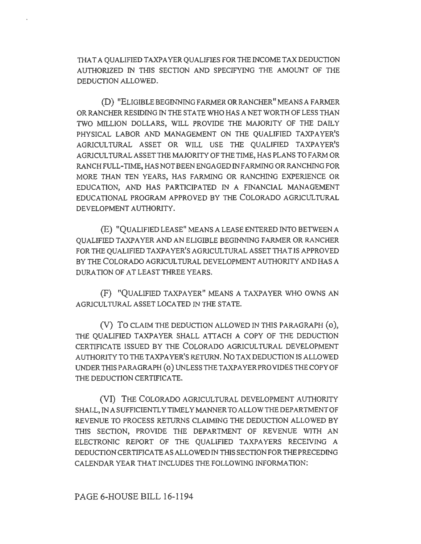THAT A QUALIFIED TAXPAYER QUALIFIES FOR THE INCOME TAX DEDUCTJON AUTHORIZED IN THIS SECTION AND SPECIFYING THE AMOUNT OF THE DEDUCTION ALLOWED.

(D) "ELIGIBLE BEGINNING FARMER OR RANCHER" MEANS A FARMER OR RANCHER RESIDING IN THE STA TE WHO HAS A NET WORTH OF LESS THAN TWO MILLION DOLLARS, WILL PROVIDE THE MAJORJTY OF THE DAILY PHYSICAL LABOR AND MANAGEMENT ON THE QUALIFIED TAXPAYER'S AGRJCULTURAL ASSET OR WILL USE THE QUALIFIED TAXPAYER'S AGRJCUL TURAL ASSET THE MAJORJTY OF THE TIME, HAS PLANS TO FARM OR RANCH FULL-TIME, HAS NOT BEEN ENGAGED INF ARMING OR RANCHING FOR MORE THAN TEN YEARS, HAS FARMING OR RANCHING EXPERIENCE OR EDUCATION, AND HAS PARTICIPATED IN A FINANCIAL MANAGEMENT EDUCATIONAL PROGRAM APPROVED BY THE COLORADO AGRICULTURAL DEVELOPMENT AUTHORJTY.

(E) "QUALIFIED LEASE" MEANS A LEASE ENTERED INTO BETWEEN A QUALIFIED TAXPAYER AND AN ELIGIBLE BEGINNING FARMER OR RANCHER FOR THE OUALIFIED TAXPAYER'S AGRICULTURAL ASSET THAT IS APPROVED BY THE COLORADO AGRICULTURAL DEVELOPMENT AUTIIORJTY AND HAS A DURATION OF AT LEAST THREE YEARS.

(F) "QUALIFIED TAXPAYER" MEANS A TAXPAYER WHO OWNS AN AGRICUL TURAL ASSET LOCATED IN THE STATE.

(V) To CLAIM THE DEDUCTION ALLOWED IN THIS PARAGRAPH (o), THE QUALIFIED TAXPAYER SHALL ATTACH A COPY OF THE DEDUCTION CERTIFICATE ISSUED BY THE COLORADO AGRICULTURAL DEVELOPMENT AUTIIORITY TO THE TAXPAYER'S RETURN. No TAX DEDUCTION IS ALLOWED UNDER THIS PARAGRAPH (o) UNLESSTHETAXPA YER PROVIDES THE COPY OF THE DEDUCTION CERTIFICATE.

(VI) THE COLORADO AGRICULTURAL DEVELOPMENT AUTHORITY SHALL, IN A SUFFICIENTLY TIMELY MANNER TO ALLOW THE DEPARTMENT OF REVENUE TO PROCESS RETURNS CLAIMING THE DEDUCTION ALLOWED BY THIS SECTION, PROVIDE THE DEPARTMENT OF REVENUE WITH AN ELECTRONIC REPORT OF THE QUALIFIED TAXPAYERS RECEIVING A DEDUCTION CERTIFICATE AS ALLOWED IN THIS SECTION FOR THE PRECEDING CALENDAR YEAR THAT INCLUDES THE FOLLOWING INFORMATION: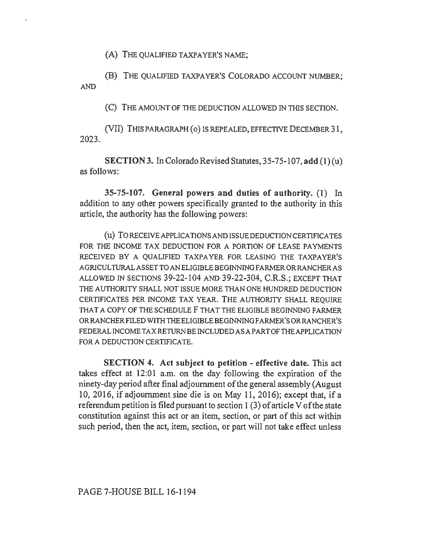(A) THE QUALIFIED TAXPAYER'S NAME;

(B) THE QUALIFIED TAXPAYER'S COLORADO ACCOUNT NUMBER; AND

(C) THE AMOUNT OF THE DEDUCTION ALLOWED IN THIS SECTION.

(VII) THIS PARAGRAPH ( o) IS REPEALED, EFFECTIVE DECEMBER 31, 2023.

SECTION 3. In Colorado Revised Statutes, 35-75-107, add (I) (u) as follows:

35-75-107. General powers and duties of authority. (I) In addition to any other powers specifically granted to the authority in this article, the authority has the following powers:

(u) TORECEIVEAPPLICATIONSANDISSUEDEDUCTIONCERTIFICATES FOR THE INCOME TAX DEDUCTION FOR A PORTION OF LEASE PAYMENTS RECEIVED BY A QUALIFIED TAXPAYER FOR LEASING THE TAXPAYER'S AGRICULTURALASSETTOANELIGIBLEBEGINNINGFARMERORRANCHERAS ALLOWED IN SECTIONS 39-22-104 AND 39-22-304, C.R.S.; EXCEPT THAT THE AUTHORITY SHALL NOT ISSUE MORE THAN ONE HUNDRED DEDUCTION CERTIFICATES PER INCOME TAX YEAR. THE AUTHORITY SHALL REQUIRE THAT A COPY OF THE SCHEDULE F THAT THE ELIGIBLE BEGINNING FARMER ORRANCHERFILEDWITIITHEELIGIBLEBEGINNINGFARMER'SORRANCHER'S FEDERAL INCOME TAX RETURN BE INCLUDED AS A PART OF THE APPLICATION FOR A DEDUCTION CERTIFICATE.

SECTION 4. Act subject to petition - effective date. This act takes effect at 12:01 a.m. on the day following the expiration of the ninety-day period after final adjournment of the general assembly (August 10, 2016, if adjournment sine die is on May 11, 2016); except that, if a referendum petition is filed pursuant to section 1 (3) of article V of the state constitution against this act or an item, section, or part of this act within such period, then the act, item, section, or part will not take effect unless